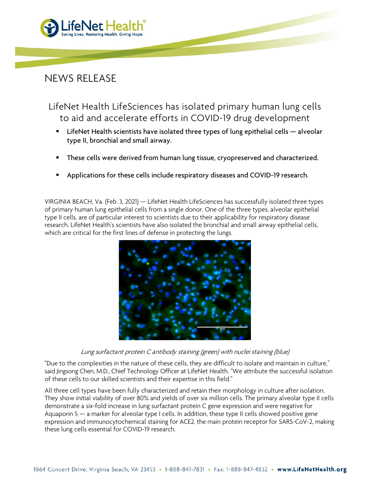

## NEWS RELEASE

LifeNet Health LifeSciences has isolated primary human lung cells to aid and accelerate efforts in COVID-19 drug development

- **EXECTE HEALTH** scientists have isolated three types of lung epithelial cells  $-$  alveolar type II, bronchial and small airway.
- **These cells were derived from human lung tissue, cryopreserved and characterized.**
- Applications for these cells include respiratory diseases and COVID-19 research.

VIRGINIA BEACH, Va. (Feb. 3, 2021) — LifeNet Health LifeSciences has successfully isolated three types of primary human lung epithelial cells from a single donor. One of the three types, alveolar epithelial type II cells, are of particular interest to scientists due to their applicability for respiratory disease research. LifeNet Health's scientists have also isolated the bronchial and small airway epithelial cells, which are critical for the first lines of defense in protecting the lungs.



Lung surfactant protein C antibody staining (green) with nuclei staining (blue)

"Due to the complexities in the nature of these cells, they are difficult to isolate and maintain in culture," said Jingsong Chen, M.D., Chief Technology Officer at LifeNet Health. "We attribute the successful isolation of these cells to our skilled scientists and their expertise in this field."

All three cell types have been fully characterized and retain their morphology in culture after isolation. They show initial viability of over 80% and yields of over six million cells. The primary alveolar type II cells demonstrate a six-fold increase in lung surfactant protein C gene expression and were negative for Aquaporin 5 — a marker for alveolar type I cells. In addition, these type II cells showed positive gene expression and immunocytochemical staining for ACE2, the main protein receptor for SARS-CoV-2, making these lung cells essential for COVID-19 research.